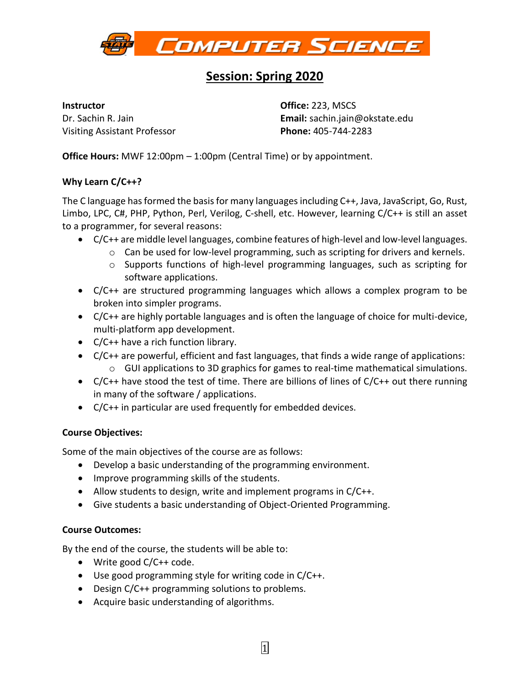

# **Session: Spring 2020**

#### **Instructor**

Dr. Sachin R. Jain Visiting Assistant Professor **Office:** 223, MSCS **Email:** sachin.jain@okstate.edu **Phone:** 405-744-2283

**Office Hours:** MWF 12:00pm – 1:00pm (Central Time) or by appointment.

# **Why Learn C/C++?**

The C language has formed the basis for many languages including C++, Java, JavaScript, Go, Rust, Limbo, LPC, C#, PHP, Python, Perl, Verilog, C-shell, etc. However, learning C/C++ is still an asset to a programmer, for several reasons:

- C/C++ are middle level languages, combine features of high-level and low-level languages.
	- o Can be used for low-level programming, such as scripting for drivers and kernels.
	- o Supports functions of high-level programming languages, such as scripting for software applications.
- C/C++ are structured programming languages which allows a complex program to be broken into simpler programs.
- C/C++ are highly portable languages and is often the language of choice for multi-device, multi-platform app development.
- C/C++ have a rich function library.
- C/C++ are powerful, efficient and fast languages, that finds a wide range of applications:  $\circ$  GUI applications to 3D graphics for games to real-time mathematical simulations.
- $C/C++$  have stood the test of time. There are billions of lines of  $C/C++$  out there running in many of the software / applications.
- C/C++ in particular are used frequently for embedded devices.

# **Course Objectives:**

Some of the main objectives of the course are as follows:

- Develop a basic understanding of the programming environment.
- Improve programming skills of the students.
- Allow students to design, write and implement programs in C/C++.
- Give students a basic understanding of Object-Oriented Programming.

# **Course Outcomes:**

By the end of the course, the students will be able to:

- Write good C/C++ code.
- Use good programming style for writing code in C/C++.
- Design C/C++ programming solutions to problems.
- Acquire basic understanding of algorithms.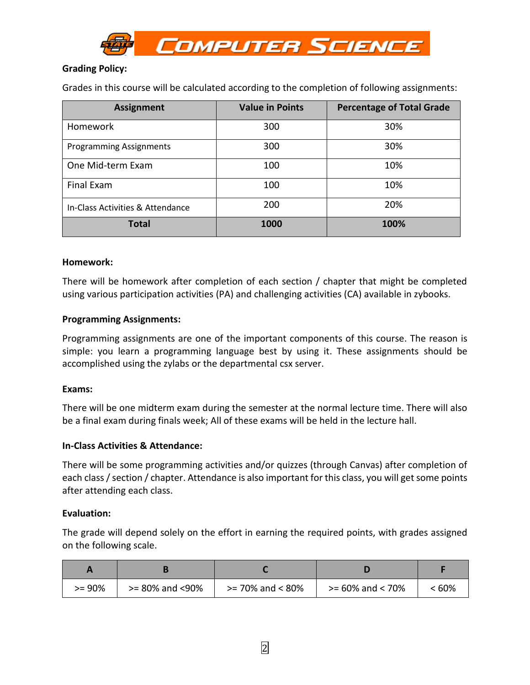

# **Grading Policy:**

Grades in this course will be calculated according to the completion of following assignments:

| <b>Assignment</b>                | <b>Percentage of Total Grade</b><br><b>Value in Points</b> |      |  |
|----------------------------------|------------------------------------------------------------|------|--|
| <b>Homework</b>                  | 300                                                        | 30%  |  |
| <b>Programming Assignments</b>   | 300                                                        | 30%  |  |
| One Mid-term Exam                | 100                                                        | 10%  |  |
| Final Exam                       | 100                                                        | 10%  |  |
| In-Class Activities & Attendance | 200                                                        | 20%  |  |
| <b>Total</b>                     | 1000                                                       | 100% |  |

#### **Homework:**

There will be homework after completion of each section / chapter that might be completed using various participation activities (PA) and challenging activities (CA) available in zybooks.

#### **Programming Assignments:**

Programming assignments are one of the important components of this course. The reason is simple: you learn a programming language best by using it. These assignments should be accomplished using the zylabs or the departmental csx server.

#### **Exams:**

There will be one midterm exam during the semester at the normal lecture time. There will also be a final exam during finals week; All of these exams will be held in the lecture hall.

### **In-Class Activities & Attendance:**

There will be some programming activities and/or quizzes (through Canvas) after completion of each class / section / chapter. Attendance is also important for this class, you will get some points after attending each class.

#### **Evaluation:**

The grade will depend solely on the effort in earning the required points, with grades assigned on the following scale.

| $>= 90\%$ | $>= 80\%$ and $<90\%$ | $>= 70\%$ and $< 80\%$ | $>= 60\%$ and $< 70\%$ | < 60% |
|-----------|-----------------------|------------------------|------------------------|-------|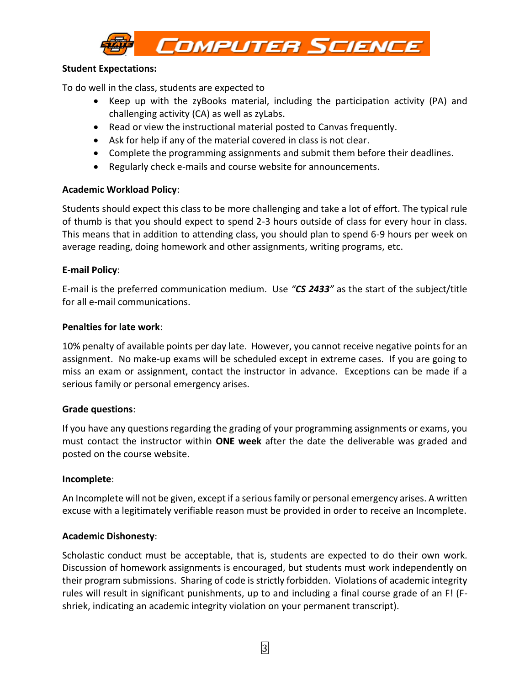

## **Student Expectations:**

To do well in the class, students are expected to

- Keep up with the zyBooks material, including the participation activity (PA) and challenging activity (CA) as well as zyLabs.
- Read or view the instructional material posted to Canvas frequently.
- Ask for help if any of the material covered in class is not clear.
- Complete the programming assignments and submit them before their deadlines.
- Regularly check e-mails and course website for announcements.

## **Academic Workload Policy**:

Students should expect this class to be more challenging and take a lot of effort. The typical rule of thumb is that you should expect to spend 2-3 hours outside of class for every hour in class. This means that in addition to attending class, you should plan to spend 6-9 hours per week on average reading, doing homework and other assignments, writing programs, etc.

## **E-mail Policy**:

E-mail is the preferred communication medium. Use *"CS 2433"* as the start of the subject/title for all e-mail communications.

## **Penalties for late work**:

10% penalty of available points per day late. However, you cannot receive negative points for an assignment. No make-up exams will be scheduled except in extreme cases. If you are going to miss an exam or assignment, contact the instructor in advance. Exceptions can be made if a serious family or personal emergency arises.

# **Grade questions**:

If you have any questions regarding the grading of your programming assignments or exams, you must contact the instructor within **ONE week** after the date the deliverable was graded and posted on the course website.

### **Incomplete**:

An Incomplete will not be given, except if a serious family or personal emergency arises. A written excuse with a legitimately verifiable reason must be provided in order to receive an Incomplete.

### **Academic Dishonesty**:

Scholastic conduct must be acceptable, that is, students are expected to do their own work. Discussion of homework assignments is encouraged, but students must work independently on their program submissions. Sharing of code is strictly forbidden. Violations of academic integrity rules will result in significant punishments, up to and including a final course grade of an F! (Fshriek, indicating an academic integrity violation on your permanent transcript).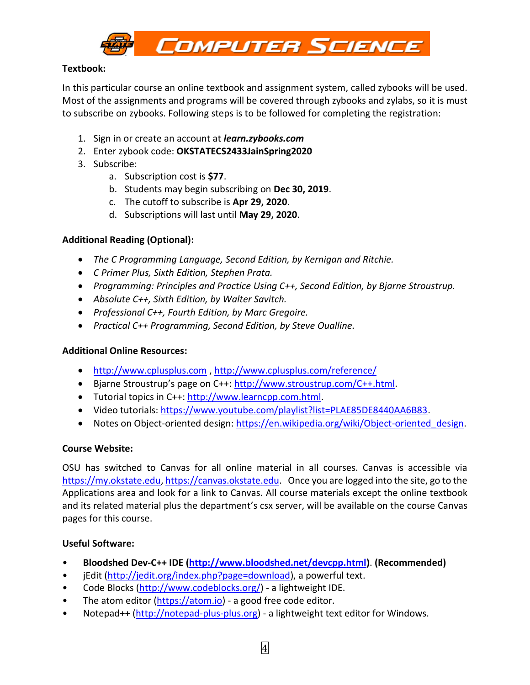

# **Textbook:**

In this particular course an online textbook and assignment system, called zybooks will be used. Most of the assignments and programs will be covered through zybooks and zylabs, so it is must to subscribe on zybooks. Following steps is to be followed for completing the registration:

- 1. Sign in or create an account at *learn.zybooks.com*
- 2. Enter zybook code: **OKSTATECS2433JainSpring2020**
- 3. Subscribe:
	- a. Subscription cost is **\$77**.
	- b. Students may begin subscribing on **Dec 30, 2019**.
	- c. The cutoff to subscribe is **Apr 29, 2020**.
	- d. Subscriptions will last until **May 29, 2020**.

## **Additional Reading (Optional):**

- *The C Programming Language, Second Edition, by Kernigan and Ritchie.*
- *C Primer Plus, Sixth Edition, Stephen Prata.*
- *Programming: Principles and Practice Using C++, Second Edition, by Bjarne Stroustrup.*
- *Absolute C++, Sixth Edition, by Walter Savitch.*
- *Professional C++, Fourth Edition, by Marc Gregoire.*
- *Practical C++ Programming, Second Edition, by Steve Oualline.*

### **Additional Online Resources:**

- [http://www.cplusplus.com](http://www.cplusplus.com/) ,<http://www.cplusplus.com/reference/>
- Bjarne Stroustrup's page on C++: [http://www.stroustrup.com/C++.](http://www.stroustrup.com/C++)html.
- Tutorial topics in C++: [http://www.learncpp.com.](http://www.learncpp.com/)html.
- Video tutorials: [https://www.youtube.com/playlist?list=PLAE85DE8440AA6B83.](https://www.youtube.com/playlist?list=PLAE85DE8440AA6B83)
- Notes on Object-oriented design: https://en.wikipedia.org/wiki/Object-oriented design.

### **Course Website:**

OSU has switched to Canvas for all online material in all courses. Canvas is accessible via [https://my.okstate.edu,](https://my.okstate.edu/) [https://canvas.okstate.edu.](https://canvas.okstate.edu/) Once you are logged into the site, go to the Applications area and look for a link to Canvas. All course materials except the online textbook and its related material plus the department's csx server, will be available on the course Canvas pages for this course.

### **Useful Software:**

- **Bloodshed Dev-C++ IDE [\(http://www.bloodshed.net/devcpp.html\)](http://www.bloodshed.net/devcpp.html)**. **(Recommended)**
- jEdit [\(http://jedit.org/index.php?page=download\)](http://jedit.org/index.php?page=download), a powerful text.
- Code Blocks [\(http://www.codeblocks.org/\)](http://www.codeblocks.org/) a lightweight IDE.
- The atom editor [\(https://atom.io\)](https://atom.io/) a good free code editor.
- Notepad++ [\(http://notepad-plus-plus.org\)](http://notepad-plus-plus.org/) a lightweight text editor for Windows.